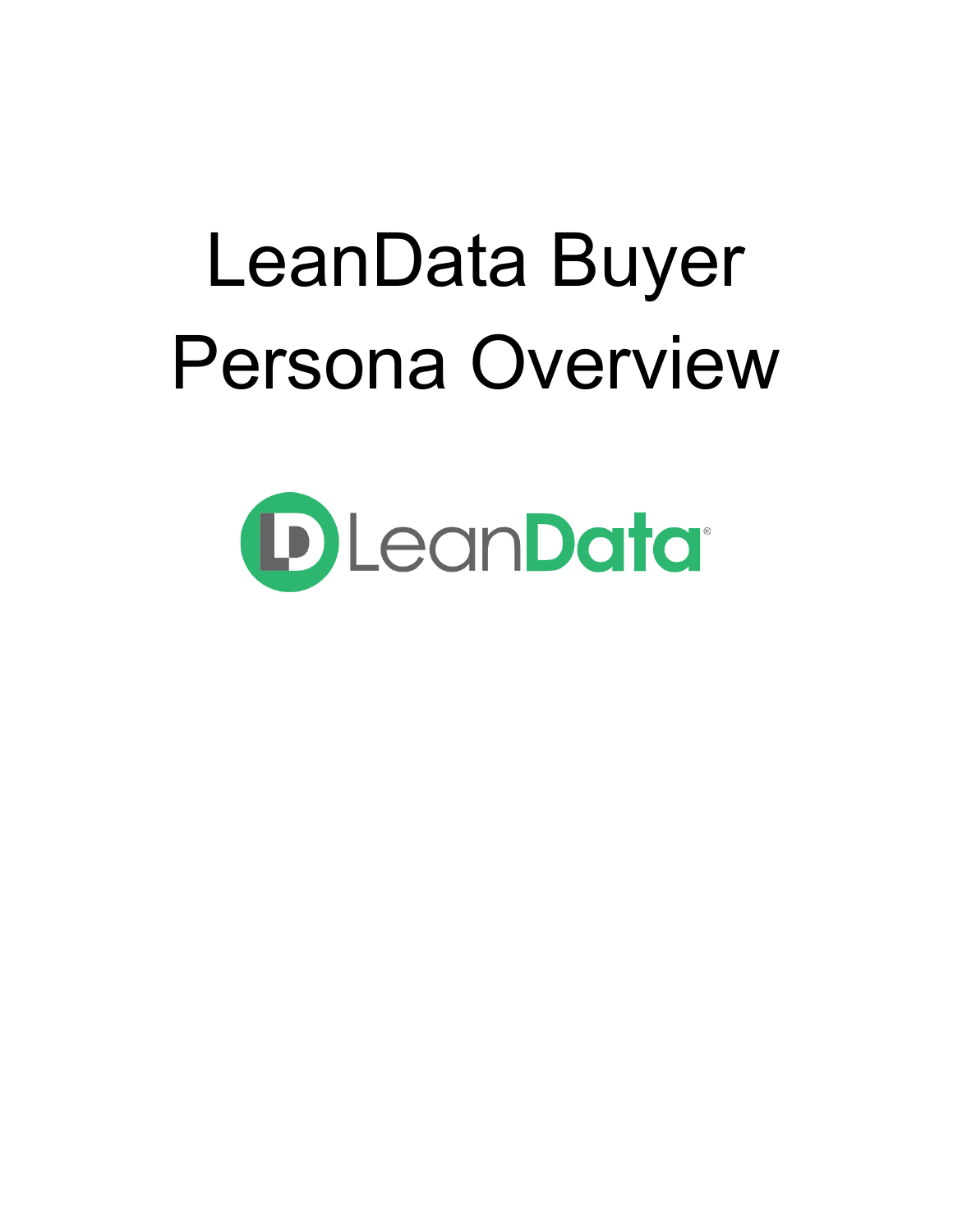# LeanData Buyer Persona Overview

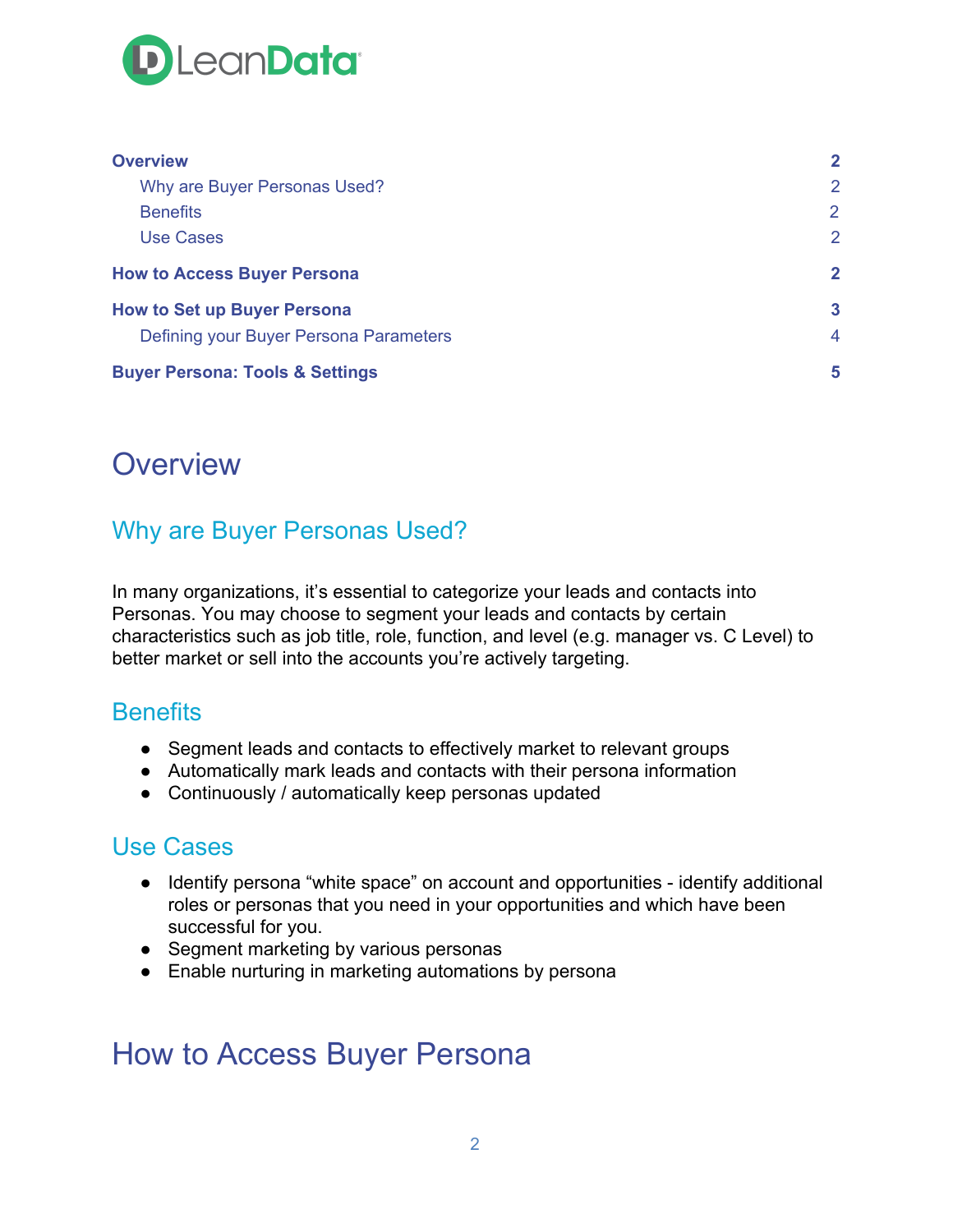

| <b>Overview</b>                            |                |
|--------------------------------------------|----------------|
| Why are Buyer Personas Used?               | 2              |
| <b>Benefits</b>                            | 2              |
| <b>Use Cases</b>                           | 2              |
| <b>How to Access Buyer Persona</b>         | $\mathbf{2}$   |
| <b>How to Set up Buyer Persona</b>         | $\mathbf{3}$   |
| Defining your Buyer Persona Parameters     | $\overline{4}$ |
| <b>Buyer Persona: Tools &amp; Settings</b> | 5              |

### <span id="page-1-0"></span>**Overview**

#### <span id="page-1-1"></span>Why are Buyer Personas Used?

In many organizations, it's essential to categorize your leads and contacts into Personas. You may choose to segment your leads and contacts by certain characteristics such as job title, role, function, and level (e.g. manager vs. C Level) to better market or sell into the accounts you're actively targeting.

#### <span id="page-1-2"></span>**Benefits**

- Segment leads and contacts to effectively market to relevant groups
- Automatically mark leads and contacts with their persona information
- Continuously / automatically keep personas updated

#### <span id="page-1-3"></span>Use Cases

- Identify persona "white space" on account and opportunities identify additional roles or personas that you need in your opportunities and which have been successful for you.
- Segment marketing by various personas
- Enable nurturing in marketing automations by persona

## <span id="page-1-4"></span>How to Access Buyer Persona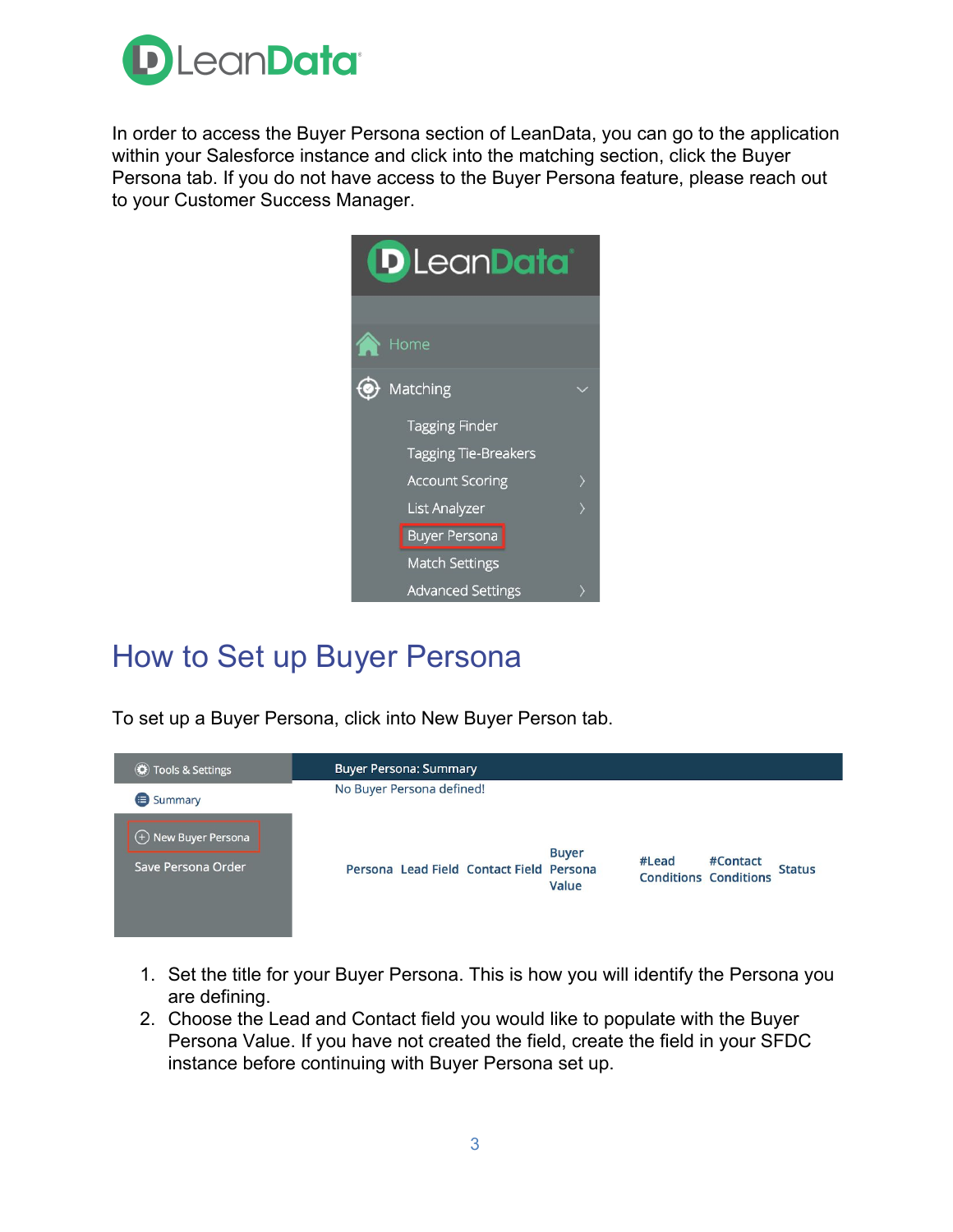

In order to access the Buyer Persona section of LeanData, you can go to the application within your Salesforce instance and click into the matching section, click the Buyer Persona tab. If you do not have access to the Buyer Persona feature, please reach out to your Customer Success Manager.



# <span id="page-2-0"></span>How to Set up Buyer Persona

To set up a Buyer Persona, click into New Buyer Person tab.



- 1. Set the title for your Buyer Persona. This is how you will identify the Persona you are defining.
- 2. Choose the Lead and Contact field you would like to populate with the Buyer Persona Value. If you have not created the field, create the field in your SFDC instance before continuing with Buyer Persona set up.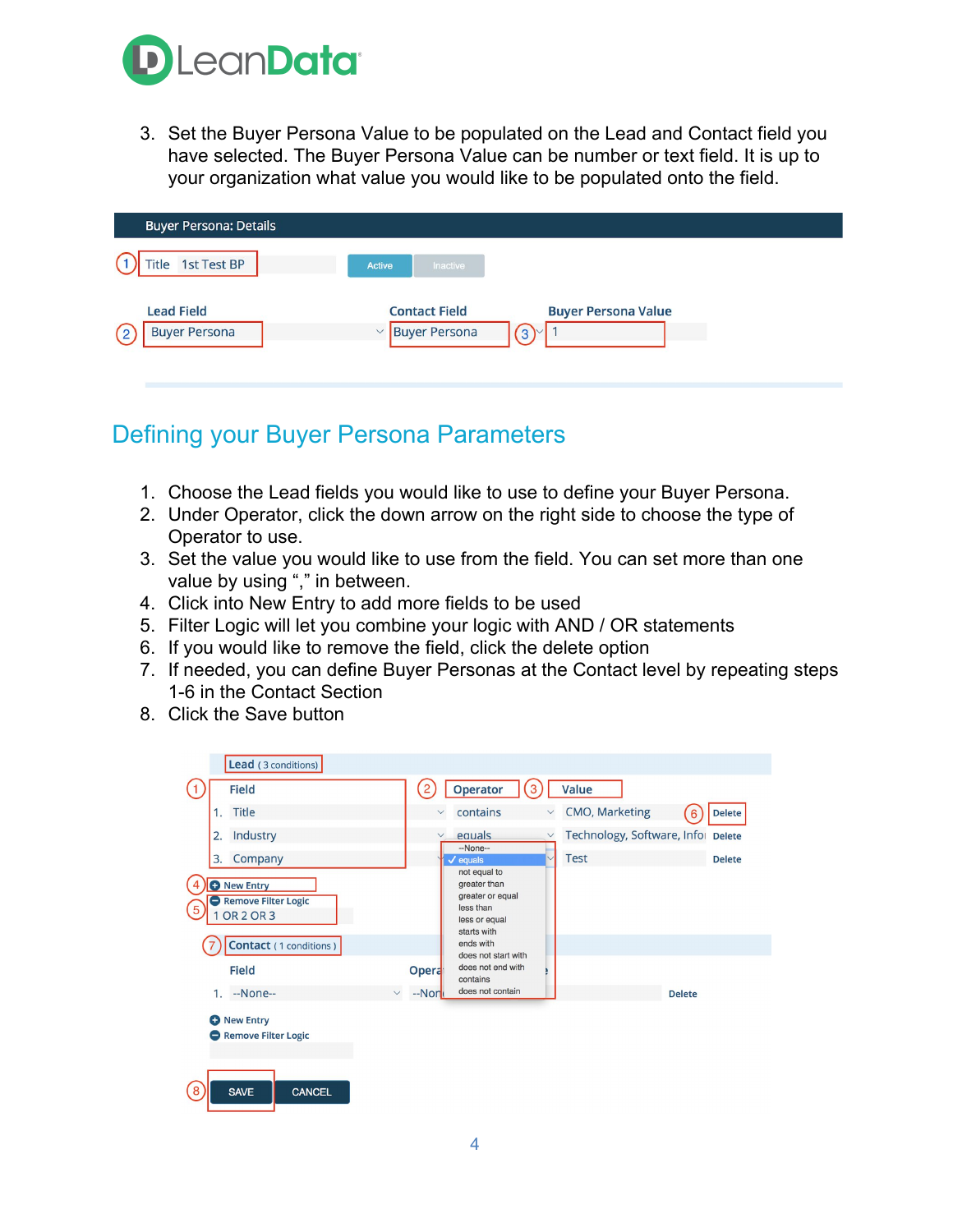

3. Set the Buyer Persona Value to be populated on the Lead and Contact field you have selected. The Buyer Persona Value can be number or text field. It is up to your organization what value you would like to be populated onto the field.

| <b>Buyer Persona: Details</b>             |                                                                                                            |  |
|-------------------------------------------|------------------------------------------------------------------------------------------------------------|--|
| Title 1st Test BP                         | Inactive<br><b>Active</b>                                                                                  |  |
| <b>Lead Field</b><br><b>Buyer Persona</b> | <b>Contact Field</b><br><b>Buyer Persona Value</b><br><b>Buyer Persona</b><br>$\checkmark$<br>$(3)^{\vee}$ |  |

#### <span id="page-3-0"></span>Defining your Buyer Persona Parameters

- 1. Choose the Lead fields you would like to use to define your Buyer Persona.
- 2. Under Operator, click the down arrow on the right side to choose the type of Operator to use.
- 3. Set the value you would like to use from the field. You can set more than one value by using "," in between.
- 4. Click into New Entry to add more fields to be used
- 5. Filter Logic will let you combine your logic with AND / OR statements
- 6. If you would like to remove the field, click the delete option
- 7. If needed, you can define Buyer Personas at the Contact level by repeating steps 1-6 in the Contact Section
- 8. Click the Save button

| Lead (3 conditions)                                                                                                                            |                                                                                                                                                                                                                  |
|------------------------------------------------------------------------------------------------------------------------------------------------|------------------------------------------------------------------------------------------------------------------------------------------------------------------------------------------------------------------|
| <b>Field</b>                                                                                                                                   | Operator<br>Value<br>3<br>$\overline{2}$                                                                                                                                                                         |
| <b>Title</b>                                                                                                                                   | CMO, Marketing<br>contains<br><b>Delete</b><br>$\checkmark$<br>$\checkmark$<br>6                                                                                                                                 |
| Industry<br>2.                                                                                                                                 | Technology, Software, Infol Delete<br>equals<br>$\checkmark$<br>$\checkmark$<br>--None--                                                                                                                         |
| Company<br>3.                                                                                                                                  | <b>Test</b><br><b>Delete</b><br>$\ddot{ }$<br>$\checkmark$ equals<br>not equal to                                                                                                                                |
| <b>O</b> New Entry<br>Remove Filter Logic<br>5<br><b>OR 2 OR 3</b><br>Contact (1 conditions)<br><b>Field</b><br>--None--<br>1.<br>$\checkmark$ | greater than<br>greater or equal<br>less than<br>less or equal<br>starts with<br>ends with<br>does not start with<br>does not end with<br><b>Opera</b><br>contains<br>does not contain<br>--Non<br><b>Delete</b> |
| <b>O</b> New Entry<br>Remove Filter Logic                                                                                                      |                                                                                                                                                                                                                  |
| $\overline{8}$<br><b>SAVE</b><br><b>CANCEL</b>                                                                                                 |                                                                                                                                                                                                                  |